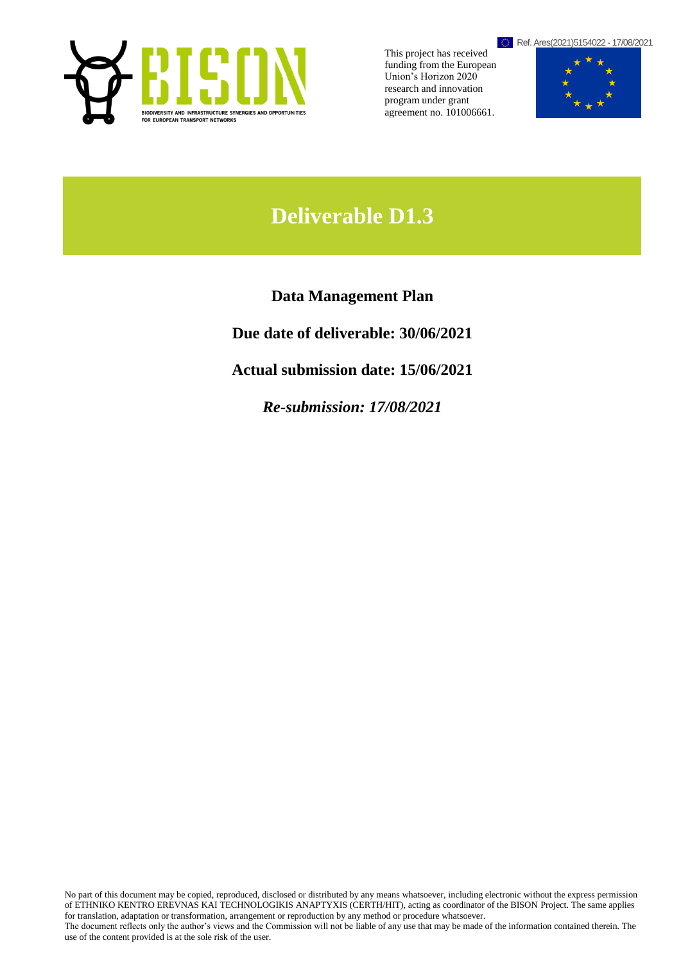

This project has received funding from the European Union's Horizon 2020 research and innovation program under grant agreement no. 101006661.





# **Deliverable D1.3**

**Data Management Plan**

**Due date of deliverable: 30/06/2021**

**Actual submission date: 15/06/2021**

*Re-submission: 17/08/2021*

No part of this document may be copied, reproduced, disclosed or distributed by any means whatsoever, including electronic without the express permission of ETHNIKO KENTRO EREVNAS KAI TECHNOLOGIKIS ANAPTYXIS (CERTH/HIT), acting as coordinator of the BISON Project. The same applies for translation, adaptation or transformation, arrangement or reproduction by any method or procedure whatsoever.

The document reflects only the author's views and the Commission will not be liable of any use that may be made of the information contained therein. The use of the content provided is at the sole risk of the user.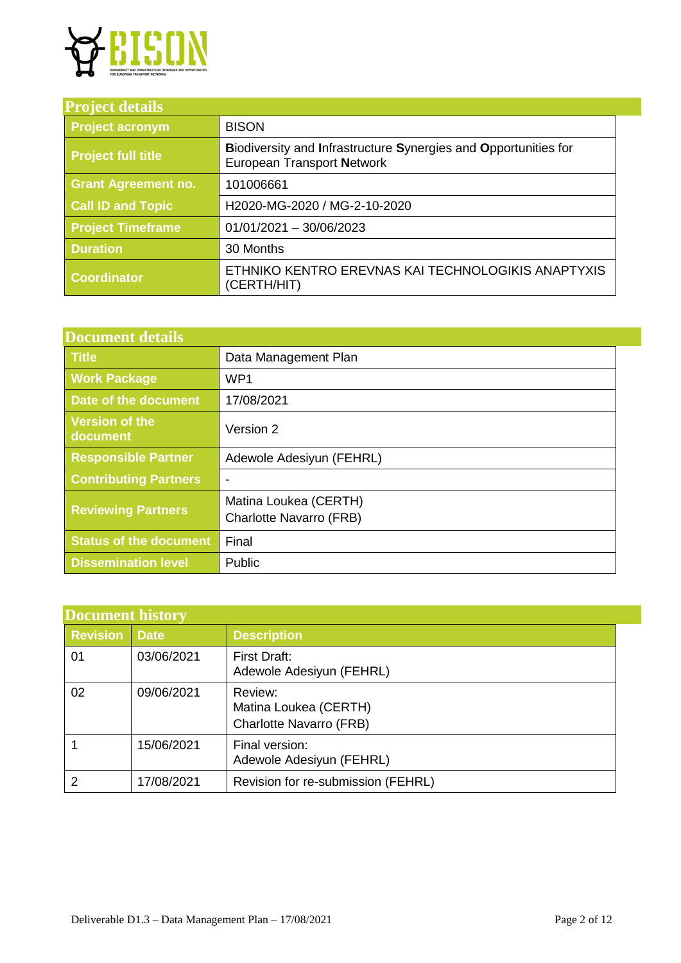

| <b>Project details</b>     |                                                                                               |  |  |
|----------------------------|-----------------------------------------------------------------------------------------------|--|--|
| <b>Project acronym</b>     | <b>BISON</b>                                                                                  |  |  |
| <b>Project full title</b>  | Biodiversity and Infrastructure Synergies and Opportunities for<br>European Transport Network |  |  |
| <b>Grant Agreement no.</b> | 101006661                                                                                     |  |  |
| <b>Call ID and Topic</b>   | H2020-MG-2020 / MG-2-10-2020                                                                  |  |  |
| <b>Project Timeframe</b>   | $01/01/2021 - 30/06/2023$                                                                     |  |  |
| <b>Duration</b>            | 30 Months                                                                                     |  |  |
| <b>Coordinator</b>         | ETHNIKO KENTRO EREVNAS KAI TECHNOLOGIKIS ANAPTYXIS<br>(CERTH/HIT)                             |  |  |

| <b>Document details</b>                                |                                                  |  |
|--------------------------------------------------------|--------------------------------------------------|--|
| <b>Title</b>                                           | Data Management Plan                             |  |
| <b>Work Package</b>                                    | WP <sub>1</sub>                                  |  |
| Date of the document<br>17/08/2021                     |                                                  |  |
| Version of the<br>Version 2<br>document                |                                                  |  |
| <b>Responsible Partner</b><br>Adewole Adesiyun (FEHRL) |                                                  |  |
| <b>Contributing Partners</b>                           | ٠                                                |  |
| <b>Reviewing Partners</b>                              | Matina Loukea (CERTH)<br>Charlotte Navarro (FRB) |  |
| <b>Status of the document</b>                          | Final                                            |  |
| <b>Dissemination level</b>                             | Public                                           |  |

| <b>Document history</b> |            |                                                             |  |
|-------------------------|------------|-------------------------------------------------------------|--|
| <b>Revision</b>         | Date       | <b>Description</b>                                          |  |
| 01                      | 03/06/2021 | <b>First Draft:</b><br>Adewole Adesiyun (FEHRL)             |  |
| 02                      | 09/06/2021 | Review:<br>Matina Loukea (CERTH)<br>Charlotte Navarro (FRB) |  |
|                         | 15/06/2021 | Final version:<br>Adewole Adesiyun (FEHRL)                  |  |
|                         | 17/08/2021 | Revision for re-submission (FEHRL)                          |  |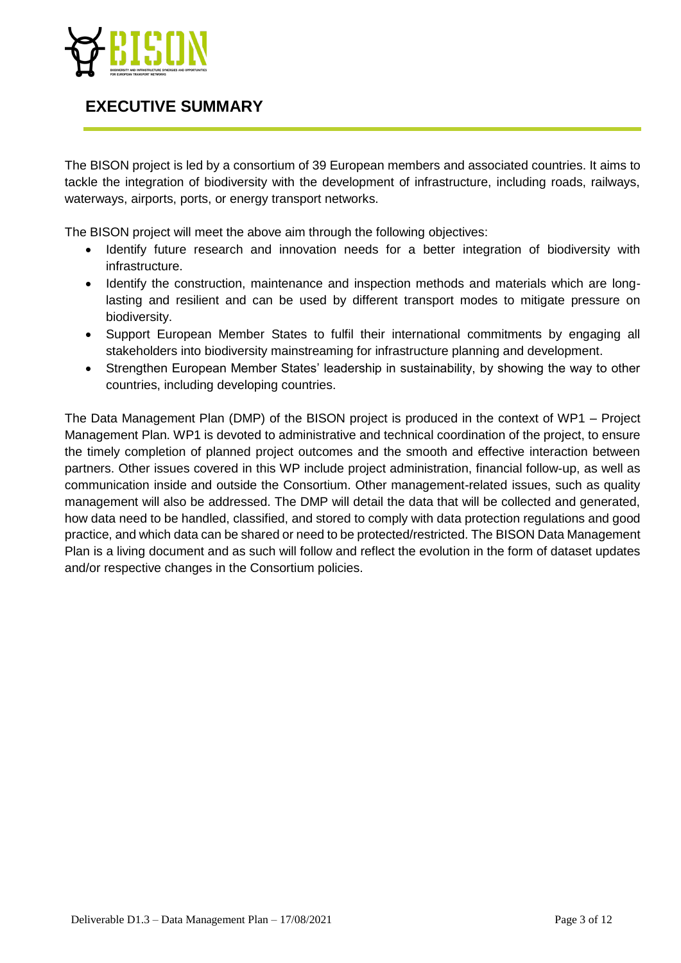

# <span id="page-2-0"></span>**EXECUTIVE SUMMARY**

The BISON project is led by a consortium of 39 European members and associated countries. It aims to tackle the integration of biodiversity with the development of infrastructure, including roads, railways, waterways, airports, ports, or energy transport networks.

The BISON project will meet the above aim through the following objectives:

- Identify future research and innovation needs for a better integration of biodiversity with infrastructure.
- Identify the construction, maintenance and inspection methods and materials which are longlasting and resilient and can be used by different transport modes to mitigate pressure on biodiversity.
- Support European Member States to fulfil their international commitments by engaging all stakeholders into biodiversity mainstreaming for infrastructure planning and development.
- Strengthen European Member States' leadership in sustainability, by showing the way to other countries, including developing countries.

The Data Management Plan (DMP) of the BISON project is produced in the context of WP1 – Project Management Plan. WP1 is devoted to administrative and technical coordination of the project, to ensure the timely completion of planned project outcomes and the smooth and effective interaction between partners. Other issues covered in this WP include project administration, financial follow-up, as well as communication inside and outside the Consortium. Other management-related issues, such as quality management will also be addressed. The DMP will detail the data that will be collected and generated, how data need to be handled, classified, and stored to comply with data protection regulations and good practice, and which data can be shared or need to be protected/restricted. The BISON Data Management Plan is a living document and as such will follow and reflect the evolution in the form of dataset updates and/or respective changes in the Consortium policies.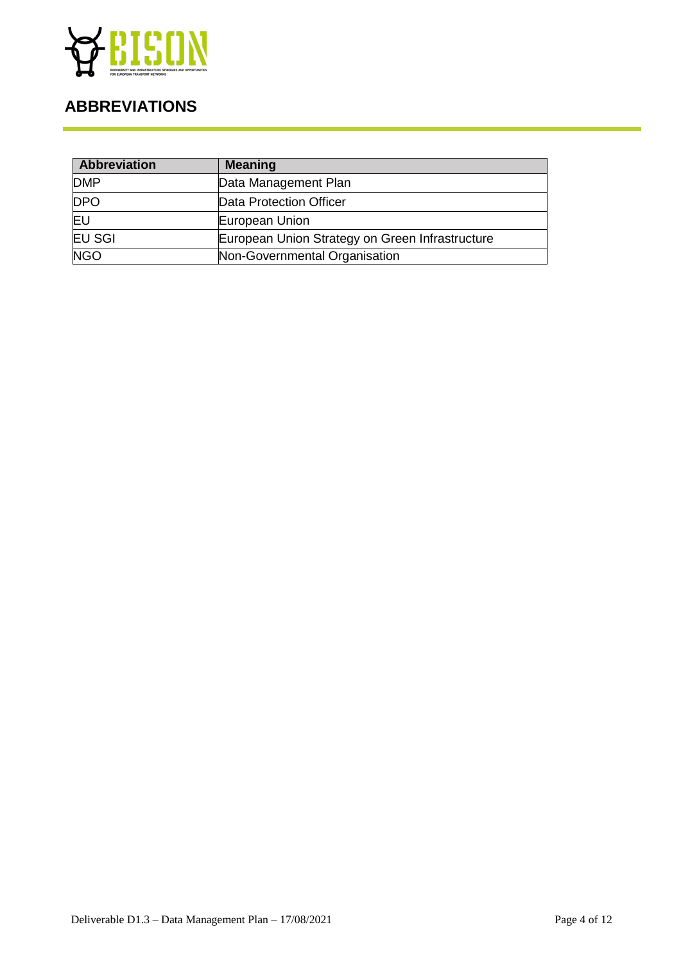

# <span id="page-3-0"></span>**ABBREVIATIONS**

| Abbreviation  | <b>Meaning</b>                                  |
|---------------|-------------------------------------------------|
| <b>DMP</b>    | Data Management Plan                            |
| <b>DPO</b>    | Data Protection Officer                         |
| EU            | European Union                                  |
| <b>EU SGI</b> | European Union Strategy on Green Infrastructure |
| <b>NGO</b>    | Non-Governmental Organisation                   |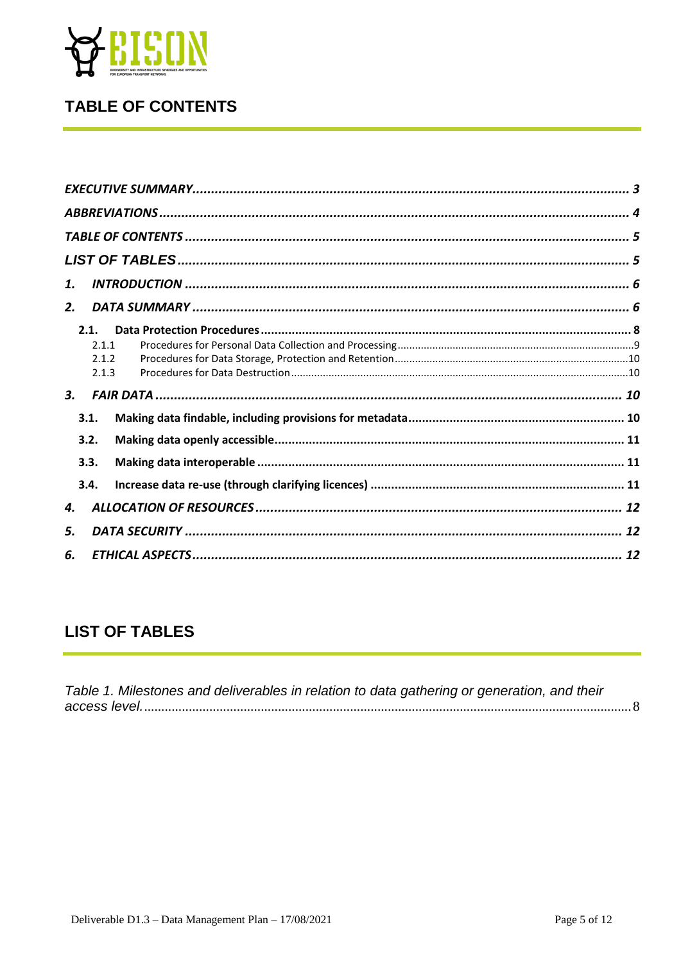

# <span id="page-4-0"></span>**TABLE OF CONTENTS**

| 1. |       |  |
|----|-------|--|
| 2. |       |  |
|    | 2.1.  |  |
|    | 2.1.1 |  |
|    | 2.1.2 |  |
|    | 2.1.3 |  |
| 3. |       |  |
|    | 3.1.  |  |
|    | 3.2.  |  |
|    | 3.3.  |  |
|    | 3.4.  |  |
| 4. |       |  |
| 5. |       |  |
| 6. |       |  |

# <span id="page-4-1"></span>**LIST OF TABLES**

| Table 1. Milestones and deliverables in relation to data gathering or generation, and their |  |
|---------------------------------------------------------------------------------------------|--|
|                                                                                             |  |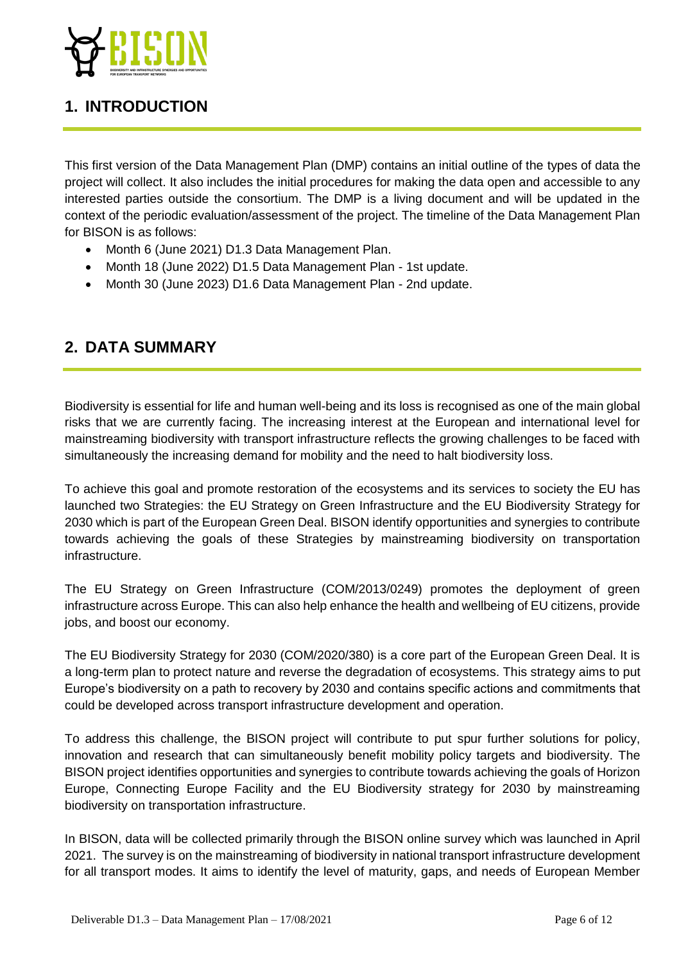

# <span id="page-5-0"></span>**1. INTRODUCTION**

This first version of the Data Management Plan (DMP) contains an initial outline of the types of data the project will collect. It also includes the initial procedures for making the data open and accessible to any interested parties outside the consortium. The DMP is a living document and will be updated in the context of the periodic evaluation/assessment of the project. The timeline of the Data Management Plan for BISON is as follows:

- Month 6 (June 2021) D1.3 Data Management Plan.
- Month 18 (June 2022) D1.5 Data Management Plan 1st update.
- Month 30 (June 2023) D1.6 Data Management Plan 2nd update.

### <span id="page-5-1"></span>**2. DATA SUMMARY**

Biodiversity is essential for life and human well-being and its loss is recognised as one of the main global risks that we are currently facing. The increasing interest at the European and international level for mainstreaming biodiversity with transport infrastructure reflects the growing challenges to be faced with simultaneously the increasing demand for mobility and the need to halt biodiversity loss.

To achieve this goal and promote restoration of the ecosystems and its services to society the EU has launched two Strategies: the EU Strategy on Green Infrastructure and the EU Biodiversity Strategy for 2030 which is part of the European Green Deal. BISON identify opportunities and synergies to contribute towards achieving the goals of these Strategies by mainstreaming biodiversity on transportation infrastructure.

The EU Strategy on Green Infrastructure (COM/2013/0249) promotes the deployment of green infrastructure across Europe. This can also help enhance the health and wellbeing of EU citizens, provide jobs, and boost our economy.

The EU Biodiversity Strategy for 2030 (COM/2020/380) is a core part of the European Green Deal. It is a long-term plan to protect nature and reverse the degradation of ecosystems. This strategy aims to put Europe's biodiversity on a path to recovery by 2030 and contains specific actions and commitments that could be developed across transport infrastructure development and operation.

To address this challenge, the BISON project will contribute to put spur further solutions for policy, innovation and research that can simultaneously benefit mobility policy targets and biodiversity. The BISON project identifies opportunities and synergies to contribute towards achieving the goals of Horizon Europe, Connecting Europe Facility and the EU Biodiversity strategy for 2030 by mainstreaming biodiversity on transportation infrastructure.

In BISON, data will be collected primarily through the BISON online survey which was launched in April 2021. The survey is on the mainstreaming of biodiversity in national transport infrastructure development for all transport modes. It aims to identify the level of maturity, gaps, and needs of European Member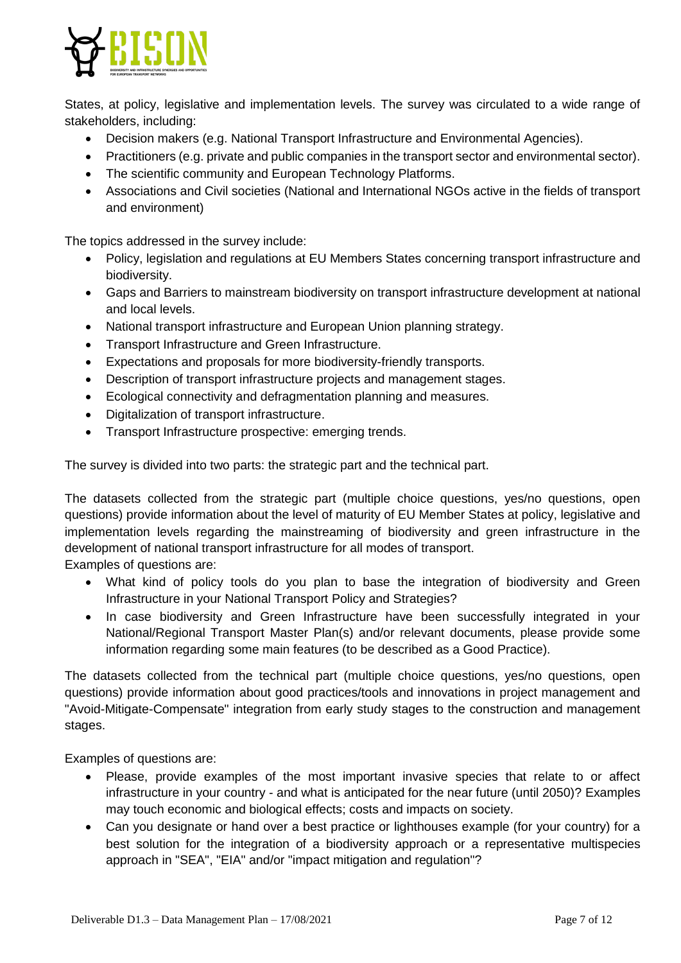

States, at policy, legislative and implementation levels. The survey was circulated to a wide range of stakeholders, including:

- Decision makers (e.g. National Transport Infrastructure and Environmental Agencies).
- Practitioners (e.g. private and public companies in the transport sector and environmental sector).
- The scientific community and European Technology Platforms.
- Associations and Civil societies (National and International NGOs active in the fields of transport and environment)

The topics addressed in the survey include:

- Policy, legislation and regulations at EU Members States concerning transport infrastructure and biodiversity.
- Gaps and Barriers to mainstream biodiversity on transport infrastructure development at national and local levels.
- National transport infrastructure and European Union planning strategy.
- Transport Infrastructure and Green Infrastructure.
- Expectations and proposals for more biodiversity-friendly transports.
- Description of transport infrastructure projects and management stages.
- Ecological connectivity and defragmentation planning and measures.
- Digitalization of transport infrastructure.
- Transport Infrastructure prospective: emerging trends.

The survey is divided into two parts: the strategic part and the technical part.

The datasets collected from the strategic part (multiple choice questions, yes/no questions, open questions) provide information about the level of maturity of EU Member States at policy, legislative and implementation levels regarding the mainstreaming of biodiversity and green infrastructure in the development of national transport infrastructure for all modes of transport.

Examples of questions are:

- What kind of policy tools do you plan to base the integration of biodiversity and Green Infrastructure in your National Transport Policy and Strategies?
- In case biodiversity and Green Infrastructure have been successfully integrated in your National/Regional Transport Master Plan(s) and/or relevant documents, please provide some information regarding some main features (to be described as a Good Practice).

The datasets collected from the technical part (multiple choice questions, yes/no questions, open questions) provide information about good practices/tools and innovations in project management and "Avoid-Mitigate-Compensate" integration from early study stages to the construction and management stages.

Examples of questions are:

- Please, provide examples of the most important invasive species that relate to or affect infrastructure in your country - and what is anticipated for the near future (until 2050)? Examples may touch economic and biological effects; costs and impacts on society.
- Can you designate or hand over a best practice or lighthouses example (for your country) for a best solution for the integration of a biodiversity approach or a representative multispecies approach in "SEA", "EIA" and/or "impact mitigation and regulation"?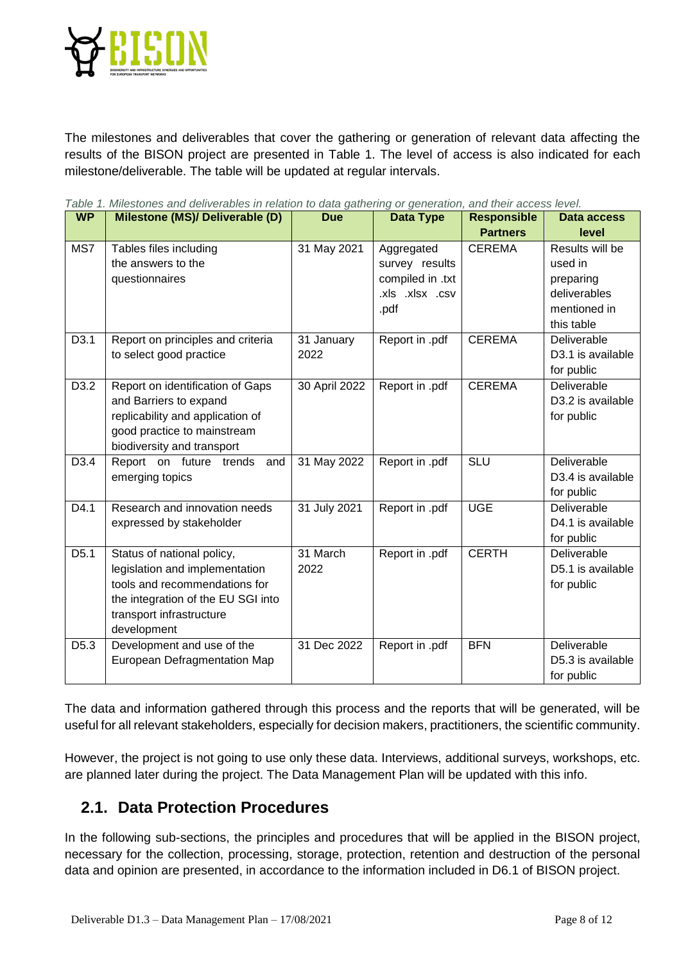

The milestones and deliverables that cover the gathering or generation of relevant data affecting the results of the BISON project are presented in Table 1. The level of access is also indicated for each milestone/deliverable. The table will be updated at regular intervals.

| <b>WP</b>        | ravic 1. Milicolutics and deliverables in relation to data gathering or generation, and their access level.<br>Milestone (MS)/ Deliverable (D)                                 | <b>Due</b>         | <b>Data Type</b>                                                            | <b>Responsible</b> | Data access                                                                           |
|------------------|--------------------------------------------------------------------------------------------------------------------------------------------------------------------------------|--------------------|-----------------------------------------------------------------------------|--------------------|---------------------------------------------------------------------------------------|
|                  |                                                                                                                                                                                |                    |                                                                             | <b>Partners</b>    | level                                                                                 |
| MS7              | Tables files including<br>the answers to the<br>questionnaires                                                                                                                 | 31 May 2021        | Aggregated<br>survey results<br>compiled in .txt<br>.xls .xlsx .csv<br>.pdf | <b>CEREMA</b>      | Results will be<br>used in<br>preparing<br>deliverables<br>mentioned in<br>this table |
| D3.1             | Report on principles and criteria<br>to select good practice                                                                                                                   | 31 January<br>2022 | Report in .pdf                                                              | <b>CEREMA</b>      | Deliverable<br>D <sub>3.1</sub> is available<br>for public                            |
| D3.2             | Report on identification of Gaps<br>and Barriers to expand<br>replicability and application of<br>good practice to mainstream<br>biodiversity and transport                    | 30 April 2022      | Report in .pdf                                                              | <b>CEREMA</b>      | Deliverable<br>D3.2 is available<br>for public                                        |
| D <sub>3.4</sub> | Report on future trends<br>and<br>emerging topics                                                                                                                              | 31 May 2022        | Report in .pdf                                                              | SLU                | Deliverable<br>D3.4 is available<br>for public                                        |
| D4.1             | Research and innovation needs<br>expressed by stakeholder                                                                                                                      | 31 July 2021       | Report in .pdf                                                              | <b>UGE</b>         | Deliverable<br>D4.1 is available<br>for public                                        |
| D <sub>5.1</sub> | Status of national policy,<br>legislation and implementation<br>tools and recommendations for<br>the integration of the EU SGI into<br>transport infrastructure<br>development | 31 March<br>2022   | Report in .pdf                                                              | <b>CERTH</b>       | <b>Deliverable</b><br>D5.1 is available<br>for public                                 |
| D <sub>5.3</sub> | Development and use of the<br>European Defragmentation Map                                                                                                                     | 31 Dec 2022        | Report in .pdf                                                              | <b>BFN</b>         | <b>Deliverable</b><br>D5.3 is available<br>for public                                 |

<span id="page-7-1"></span>*Table 1. Milestones and deliverables in relation to data gathering or generation, and their access level.*

The data and information gathered through this process and the reports that will be generated, will be useful for all relevant stakeholders, especially for decision makers, practitioners, the scientific community.

However, the project is not going to use only these data. Interviews, additional surveys, workshops, etc. are planned later during the project. The Data Management Plan will be updated with this info.

### <span id="page-7-0"></span>**2.1. Data Protection Procedures**

In the following sub-sections, the principles and procedures that will be applied in the BISON project, necessary for the collection, processing, storage, protection, retention and destruction of the personal data and opinion are presented, in accordance to the information included in D6.1 of BISON project.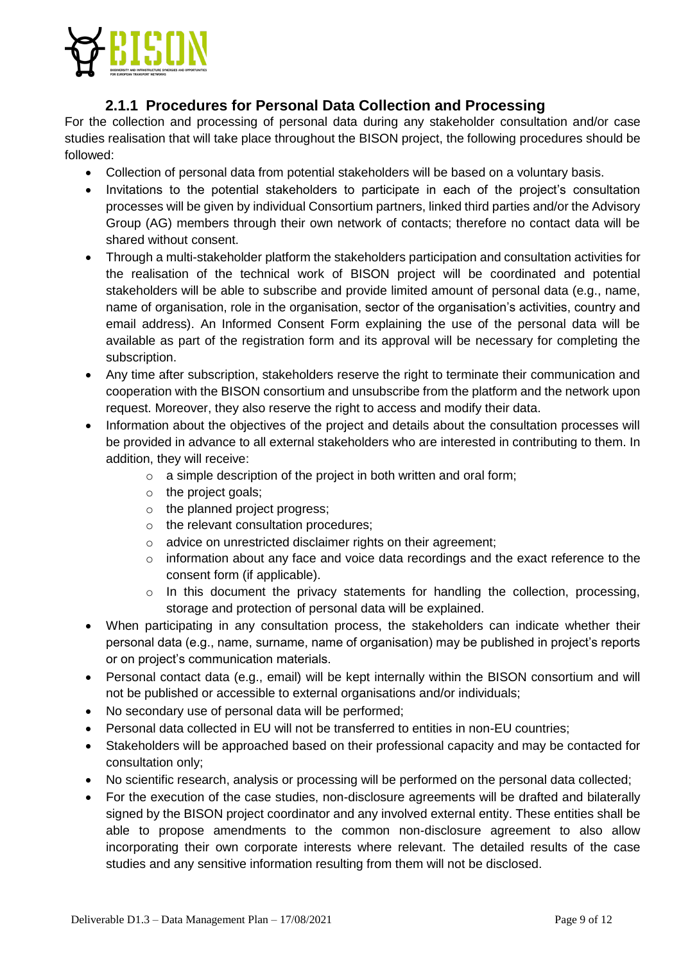

#### **2.1.1 Procedures for Personal Data Collection and Processing**

<span id="page-8-0"></span>For the collection and processing of personal data during any stakeholder consultation and/or case studies realisation that will take place throughout the BISON project, the following procedures should be followed:

- Collection of personal data from potential stakeholders will be based on a voluntary basis.
- Invitations to the potential stakeholders to participate in each of the project's consultation processes will be given by individual Consortium partners, linked third parties and/or the Advisory Group (AG) members through their own network of contacts; therefore no contact data will be shared without consent.
- Through a multi-stakeholder platform the stakeholders participation and consultation activities for the realisation of the technical work of BISON project will be coordinated and potential stakeholders will be able to subscribe and provide limited amount of personal data (e.g., name, name of organisation, role in the organisation, sector of the organisation's activities, country and email address). An Informed Consent Form explaining the use of the personal data will be available as part of the registration form and its approval will be necessary for completing the subscription.
- Any time after subscription, stakeholders reserve the right to terminate their communication and cooperation with the BISON consortium and unsubscribe from the platform and the network upon request. Moreover, they also reserve the right to access and modify their data.
- Information about the objectives of the project and details about the consultation processes will be provided in advance to all external stakeholders who are interested in contributing to them. In addition, they will receive:
	- $\circ$  a simple description of the project in both written and oral form;
	- o the project goals;
	- o the planned project progress;
	- o the relevant consultation procedures;
	- o advice on unrestricted disclaimer rights on their agreement;
	- $\circ$  information about any face and voice data recordings and the exact reference to the consent form (if applicable).
	- o In this document the privacy statements for handling the collection, processing, storage and protection of personal data will be explained.
- When participating in any consultation process, the stakeholders can indicate whether their personal data (e.g., name, surname, name of organisation) may be published in project's reports or on project's communication materials.
- Personal contact data (e.g., email) will be kept internally within the BISON consortium and will not be published or accessible to external organisations and/or individuals;
- No secondary use of personal data will be performed;
- Personal data collected in EU will not be transferred to entities in non-EU countries;
- Stakeholders will be approached based on their professional capacity and may be contacted for consultation only;
- No scientific research, analysis or processing will be performed on the personal data collected;
- For the execution of the case studies, non-disclosure agreements will be drafted and bilaterally signed by the BISON project coordinator and any involved external entity. These entities shall be able to propose amendments to the common non-disclosure agreement to also allow incorporating their own corporate interests where relevant. The detailed results of the case studies and any sensitive information resulting from them will not be disclosed.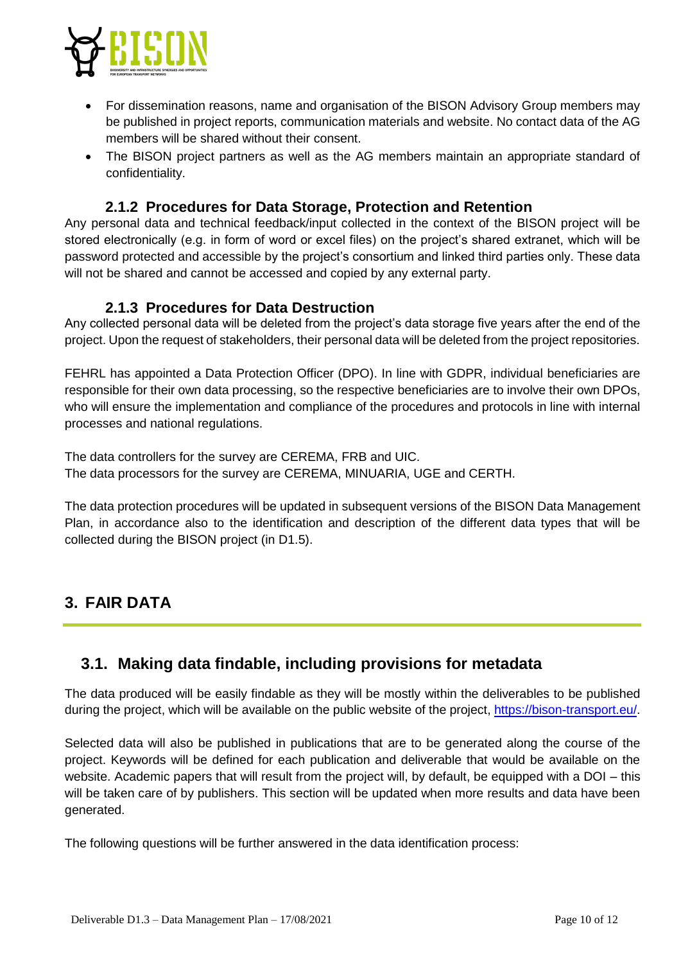

- For dissemination reasons, name and organisation of the BISON Advisory Group members may be published in project reports, communication materials and website. No contact data of the AG members will be shared without their consent.
- The BISON project partners as well as the AG members maintain an appropriate standard of confidentiality.

#### **2.1.2 Procedures for Data Storage, Protection and Retention**

<span id="page-9-0"></span>Any personal data and technical feedback/input collected in the context of the BISON project will be stored electronically (e.g. in form of word or excel files) on the project's shared extranet, which will be password protected and accessible by the project's consortium and linked third parties only. These data will not be shared and cannot be accessed and copied by any external party.

#### **2.1.3 Procedures for Data Destruction**

<span id="page-9-1"></span>Any collected personal data will be deleted from the project's data storage five years after the end of the project. Upon the request of stakeholders, their personal data will be deleted from the project repositories.

FEHRL has appointed a Data Protection Officer (DPO). In line with GDPR, individual beneficiaries are responsible for their own data processing, so the respective beneficiaries are to involve their own DPOs, who will ensure the implementation and compliance of the procedures and protocols in line with internal processes and national regulations.

The data controllers for the survey are CEREMA, FRB and UIC. The data processors for the survey are CEREMA, MINUARIA, UGE and CERTH.

The data protection procedures will be updated in subsequent versions of the BISON Data Management Plan, in accordance also to the identification and description of the different data types that will be collected during the BISON project (in D1.5).

# <span id="page-9-2"></span>**3. FAIR DATA**

### <span id="page-9-3"></span>**3.1. Making data findable, including provisions for metadata**

The data produced will be easily findable as they will be mostly within the deliverables to be published during the project, which will be available on the public website of the project, [https://bison-transport.eu/.](https://bison-transport.eu/)

Selected data will also be published in publications that are to be generated along the course of the project. Keywords will be defined for each publication and deliverable that would be available on the website. Academic papers that will result from the project will, by default, be equipped with a DOI – this will be taken care of by publishers. This section will be updated when more results and data have been generated.

The following questions will be further answered in the data identification process: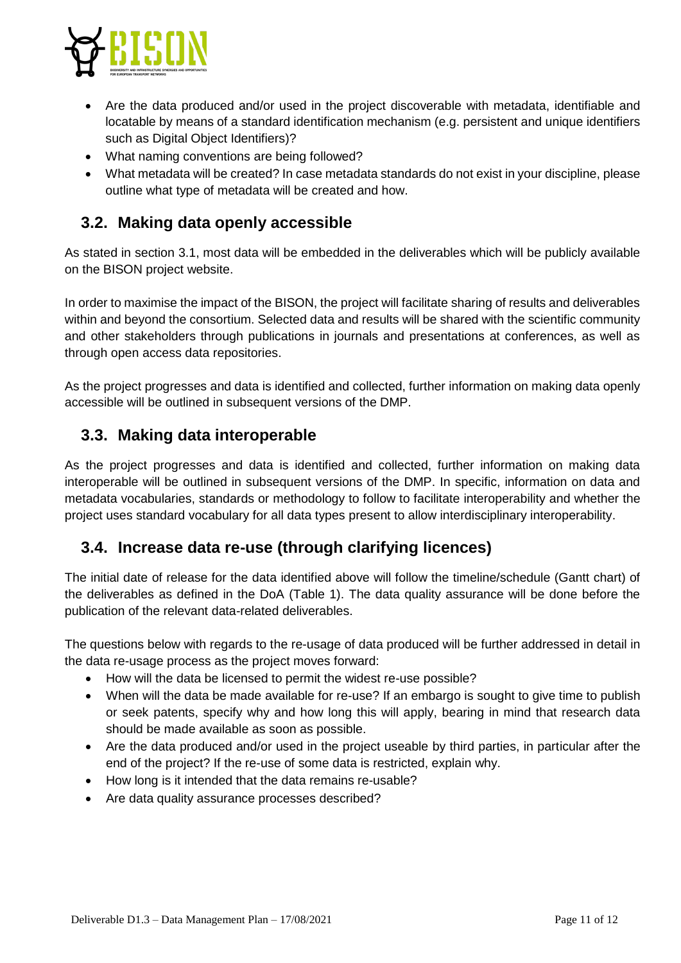

- Are the data produced and/or used in the project discoverable with metadata, identifiable and locatable by means of a standard identification mechanism (e.g. persistent and unique identifiers such as Digital Object Identifiers)?
- What naming conventions are being followed?
- What metadata will be created? In case metadata standards do not exist in your discipline, please outline what type of metadata will be created and how.

# <span id="page-10-0"></span>**3.2. Making data openly accessible**

As stated in section 3.1, most data will be embedded in the deliverables which will be publicly available on the BISON project website.

In order to maximise the impact of the BISON, the project will facilitate sharing of results and deliverables within and beyond the consortium. Selected data and results will be shared with the scientific community and other stakeholders through publications in journals and presentations at conferences, as well as through open access data repositories.

As the project progresses and data is identified and collected, further information on making data openly accessible will be outlined in subsequent versions of the DMP.

# <span id="page-10-1"></span>**3.3. Making data interoperable**

As the project progresses and data is identified and collected, further information on making data interoperable will be outlined in subsequent versions of the DMP. In specific, information on data and metadata vocabularies, standards or methodology to follow to facilitate interoperability and whether the project uses standard vocabulary for all data types present to allow interdisciplinary interoperability.

# <span id="page-10-2"></span>**3.4. Increase data re-use (through clarifying licences)**

The initial date of release for the data identified above will follow the timeline/schedule (Gantt chart) of the deliverables as defined in the DoA (Table 1). The data quality assurance will be done before the publication of the relevant data-related deliverables.

The questions below with regards to the re-usage of data produced will be further addressed in detail in the data re-usage process as the project moves forward:

- How will the data be licensed to permit the widest re-use possible?
- When will the data be made available for re-use? If an embargo is sought to give time to publish or seek patents, specify why and how long this will apply, bearing in mind that research data should be made available as soon as possible.
- Are the data produced and/or used in the project useable by third parties, in particular after the end of the project? If the re-use of some data is restricted, explain why.
- How long is it intended that the data remains re-usable?
- Are data quality assurance processes described?